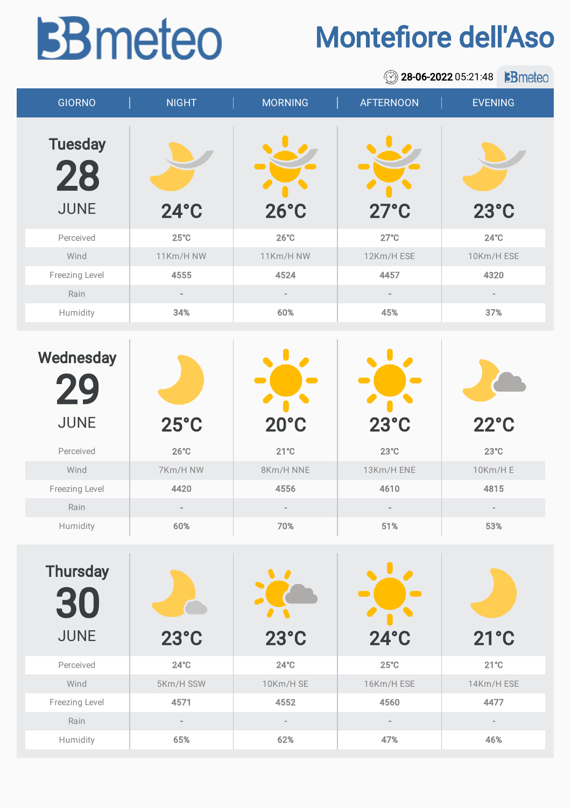## **BB** meteo

## Montefiore dell'Aso

|                                      |                |                          | $\circledcirc$           | 28-06-2022 05:21:48<br><b>B</b> meteo |
|--------------------------------------|----------------|--------------------------|--------------------------|---------------------------------------|
| <b>GIORNO</b>                        | <b>NIGHT</b>   | <b>MORNING</b>           | <b>AFTERNOON</b>         | <b>EVENING</b>                        |
| <b>Tuesday</b><br>28                 |                |                          |                          |                                       |
| <b>JUNE</b>                          | $24^\circ C$   | $26^{\circ}$ C           | $27^{\circ}$ C           | $23^{\circ}$ C                        |
| Perceived                            | $25^{\circ}$ C | $26^{\circ}C$            | $27^{\circ}$ C           | $24^{\circ}$ C                        |
| Wind                                 | 11Km/H NW      | 11Km/H NW                | 12Km/H ESE               | 10Km/H ESE                            |
| Freezing Level                       | 4555           | 4524                     | 4457                     | 4320                                  |
| Rain                                 |                | $\overline{\phantom{a}}$ | $\overline{\phantom{a}}$ | $\sim$                                |
| Humidity                             | 34%            | 60%                      | 45%                      | 37%                                   |
| Wednesday<br>29                      |                |                          |                          |                                       |
| <b>JUNE</b>                          | $25^{\circ}$ C | $20^{\circ}$ C           | $23^\circ C$             | $22^{\circ}$ C                        |
| Perceived                            | $26^{\circ}$ C | $21^{\circ}$ C           | $23^{\circ}C$            | $23^{\circ}$ C                        |
| Wind                                 | 7Km/H NW       | 8Km/H NNE                | 13Km/H ENE               | 10Km/H E                              |
| Freezing Level                       | 4420           | 4556                     | 4610                     | 4815                                  |
| Rain                                 |                |                          |                          |                                       |
| Humidity                             | 60%            | 70%                      | 51%                      | 53%                                   |
| <b>Thursday</b><br>30<br><b>JUNE</b> | $23^{\circ}$ C | $23^{\circ}$ C           | $24^\circ C$             | $21^{\circ}$ C                        |
| Perceived                            | $24^\circ C$   | $24^{\circ}$ C           | $25^{\circ}$ C           | $21^{\circ}C$                         |
| Wind                                 | 5Km/H SSW      | 10Km/H SE                | 16Km/H ESE               | 14Km/H ESE                            |
| Freezing Level                       | 4571           | 4552                     | 4560                     | 4477                                  |
| Rain                                 |                | $\overline{\phantom{a}}$ |                          | $\overline{\phantom{a}}$              |
| Humidity                             | 65%            | 62%                      | 47%                      | 46%                                   |
|                                      |                |                          |                          |                                       |